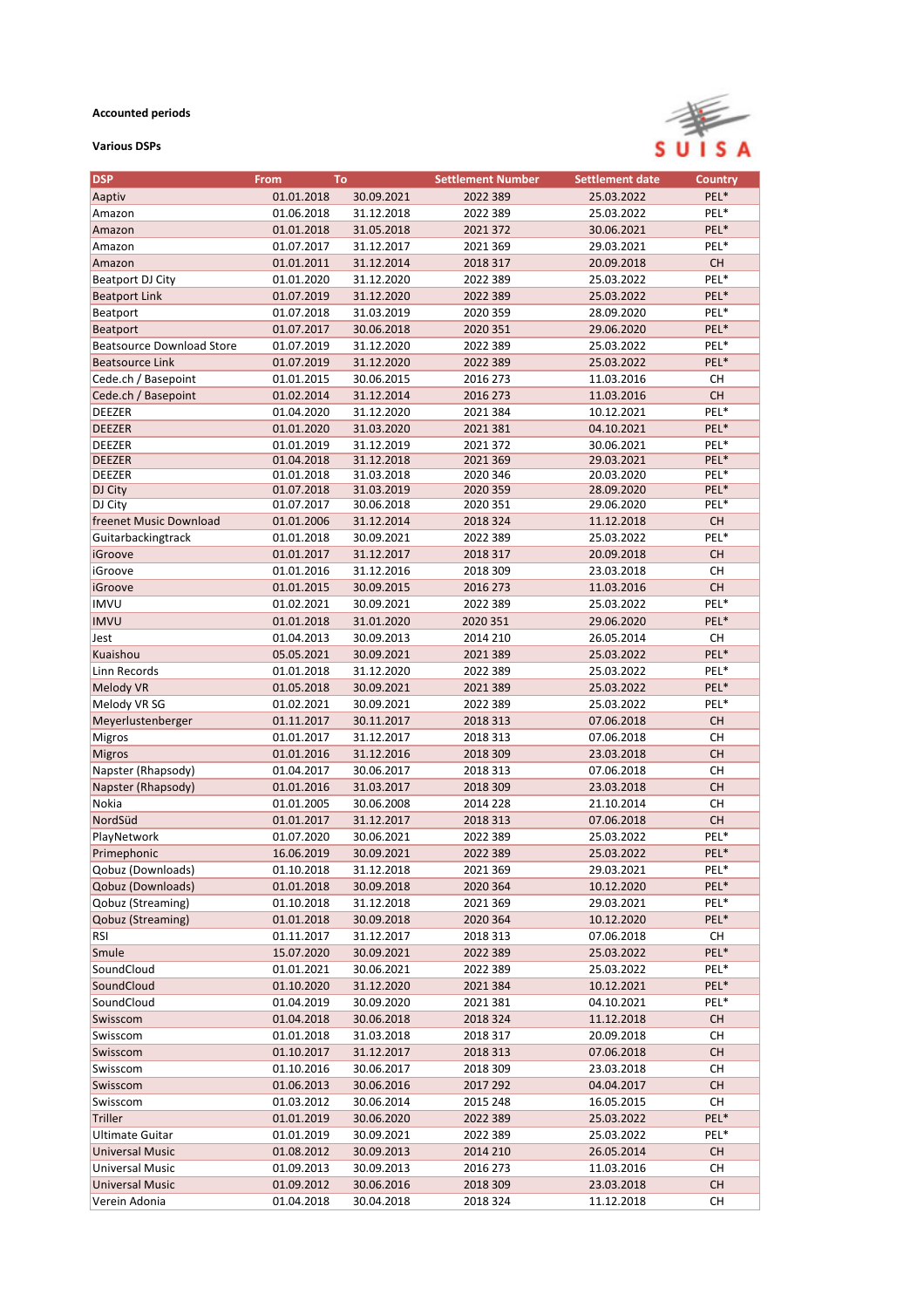## **Accounted periods**

## **Various DSPs**



| <b>DSP</b>                       | <b>From</b><br>To |            | <b>Settlement Number</b> | <b>Settlement date</b> | <b>Country</b> |
|----------------------------------|-------------------|------------|--------------------------|------------------------|----------------|
| Aaptiv                           | 01.01.2018        | 30.09.2021 | 2022 389                 | 25.03.2022             | PEL*           |
| Amazon                           | 01.06.2018        | 31.12.2018 | 2022 389                 | 25.03.2022             | PEL*           |
| Amazon                           | 01.01.2018        | 31.05.2018 | 2021 372                 | 30.06.2021             | PEL*           |
| Amazon                           | 01.07.2017        | 31.12.2017 | 2021 369                 | 29.03.2021             | PEL*           |
| Amazon                           | 01.01.2011        | 31.12.2014 | 2018 317                 | 20.09.2018             | <b>CH</b>      |
| <b>Beatport DJ City</b>          | 01.01.2020        | 31.12.2020 | 2022 389                 | 25.03.2022             | PEL*           |
| <b>Beatport Link</b>             | 01.07.2019        | 31.12.2020 | 2022 389                 | 25.03.2022             | PEL*           |
| Beatport                         | 01.07.2018        | 31.03.2019 | 2020 359                 | 28.09.2020             | PEL*           |
| Beatport                         | 01.07.2017        | 30.06.2018 | 2020 351                 | 29.06.2020             | PEL*           |
| <b>Beatsource Download Store</b> | 01.07.2019        | 31.12.2020 | 2022 389                 | 25.03.2022             | PEL*           |
| <b>Beatsource Link</b>           | 01.07.2019        | 31.12.2020 | 2022 389                 | 25.03.2022             | PEL*           |
| Cede.ch / Basepoint              | 01.01.2015        | 30.06.2015 | 2016 273                 | 11.03.2016             | CH             |
| Cede.ch / Basepoint              | 01.02.2014        | 31.12.2014 | 2016 273                 | 11.03.2016             | CH             |
| <b>DEEZER</b>                    | 01.04.2020        | 31.12.2020 | 2021 384                 | 10.12.2021             | PEL*           |
| <b>DEEZER</b>                    | 01.01.2020        | 31.03.2020 | 2021 381                 | 04.10.2021             | PEL*           |
| <b>DEEZER</b>                    | 01.01.2019        | 31.12.2019 | 2021 372                 | 30.06.2021             | PEL*           |
| <b>DEEZER</b>                    | 01.04.2018        | 31.12.2018 | 2021 369                 | 29.03.2021             | PEL*           |
| <b>DEEZER</b>                    | 01.01.2018        | 31.03.2018 | 2020 346                 | 20.03.2020             | PEL*           |
| DJ City                          | 01.07.2018        | 31.03.2019 | 2020 359                 | 28.09.2020             | PEL*           |
| DJ City                          | 01.07.2017        | 30.06.2018 | 2020 351                 | 29.06.2020             | PEL*           |
| freenet Music Download           | 01.01.2006        | 31.12.2014 | 2018 324                 | 11.12.2018             | <b>CH</b>      |
| Guitarbackingtrack               | 01.01.2018        | 30.09.2021 | 2022 389                 | 25.03.2022             | PEL*           |
| iGroove                          | 01.01.2017        | 31.12.2017 | 2018 317                 | 20.09.2018             | <b>CH</b>      |
| iGroove                          | 01.01.2016        | 31.12.2016 | 2018 309                 | 23.03.2018             | <b>CH</b>      |
| iGroove                          | 01.01.2015        | 30.09.2015 | 2016 273                 | 11.03.2016             | CH             |
| <b>IMVU</b>                      | 01.02.2021        | 30.09.2021 | 2022 389                 | 25.03.2022             | PEL*           |
| <b>IMVU</b>                      | 01.01.2018        | 31.01.2020 | 2020 351                 | 29.06.2020             | PEL*           |
| Jest                             | 01.04.2013        | 30.09.2013 | 2014 210                 | 26.05.2014             | СH             |
| Kuaishou                         | 05.05.2021        | 30.09.2021 | 2021 389                 | 25.03.2022             | PEL*           |
| Linn Records                     | 01.01.2018        | 31.12.2020 | 2022 389                 | 25.03.2022             | PEL*           |
| <b>Melody VR</b>                 | 01.05.2018        | 30.09.2021 | 2021 389                 | 25.03.2022             | PEL*           |
| Melody VR SG                     | 01.02.2021        | 30.09.2021 | 2022 389                 | 25.03.2022             | PEL*           |
| Meyerlustenberger                | 01.11.2017        | 30.11.2017 | 2018 313                 | 07.06.2018             | <b>CH</b>      |
| Migros                           | 01.01.2017        | 31.12.2017 | 2018 313                 | 07.06.2018             | СH             |
| <b>Migros</b>                    | 01.01.2016        | 31.12.2016 | 2018 309                 | 23.03.2018             | <b>CH</b>      |
| Napster (Rhapsody)               | 01.04.2017        | 30.06.2017 | 2018 313                 | 07.06.2018             | CH             |
| Napster (Rhapsody)               | 01.01.2016        | 31.03.2017 | 2018 309                 | 23.03.2018             | CH             |
| Nokia                            | 01.01.2005        | 30.06.2008 | 2014 228                 | 21.10.2014             | <b>CH</b>      |
| NordSüd                          | 01.01.2017        | 31.12.2017 | 2018 313                 | 07.06.2018             | CH             |
| PlayNetwork                      | 01.07.2020        | 30.06.2021 | 2022 389                 | 25.03.2022             | PEL*           |
| Primephonic                      | 16.06.2019        | 30.09.2021 | 2022 389                 | 25.03.2022             | PEL*           |
| Qobuz (Downloads)                | 01.10.2018        | 31.12.2018 | 2021 369                 | 29.03.2021             | PEL*           |
| Qobuz (Downloads)                | 01.01.2018        | 30.09.2018 | 2020 364                 | 10.12.2020             | PEL*           |
| Qobuz (Streaming)                | 01.10.2018        | 31.12.2018 | 2021 369                 | 29.03.2021             | PEL*           |
| Qobuz (Streaming)                | 01.01.2018        | 30.09.2018 | 2020 364                 | 10.12.2020             | PEL*           |
| <b>RSI</b>                       | 01.11.2017        | 31.12.2017 | 2018 313                 | 07.06.2018             | CH             |
| Smule                            | 15.07.2020        | 30.09.2021 | 2022 389                 | 25.03.2022             | PEL*           |
| SoundCloud                       | 01.01.2021        | 30.06.2021 | 2022 389                 | 25.03.2022             | PEL*           |
| SoundCloud                       | 01.10.2020        | 31.12.2020 | 2021 384                 | 10.12.2021             | PEL*           |
| SoundCloud                       | 01.04.2019        | 30.09.2020 | 2021 381                 | 04.10.2021             | PEL*           |
| Swisscom                         | 01.04.2018        | 30.06.2018 | 2018 324                 | 11.12.2018             | CH.            |
| Swisscom                         | 01.01.2018        | 31.03.2018 | 2018 317                 | 20.09.2018             | CН             |
| Swisscom                         | 01.10.2017        | 31.12.2017 | 2018 313                 | 07.06.2018             | <b>CH</b>      |
| Swisscom                         | 01.10.2016        | 30.06.2017 | 2018 309                 | 23.03.2018             | СH             |
| Swisscom                         | 01.06.2013        | 30.06.2016 | 2017 292                 | 04.04.2017             | <b>CH</b>      |
| Swisscom                         | 01.03.2012        | 30.06.2014 | 2015 248                 | 16.05.2015             | СH             |
| <b>Triller</b>                   | 01.01.2019        | 30.06.2020 | 2022 389                 | 25.03.2022             | PEL*           |
| Ultimate Guitar                  | 01.01.2019        | 30.09.2021 | 2022 389                 | 25.03.2022             | PEL*           |
| <b>Universal Music</b>           | 01.08.2012        | 30.09.2013 | 2014 210                 | 26.05.2014             | <b>CH</b>      |
| Universal Music                  | 01.09.2013        | 30.09.2013 | 2016 273                 | 11.03.2016             | CH             |
| Universal Music                  | 01.09.2012        | 30.06.2016 | 2018 309                 | 23.03.2018             | CH             |
| Verein Adonia                    | 01.04.2018        | 30.04.2018 | 2018 324                 | 11.12.2018             | СH             |